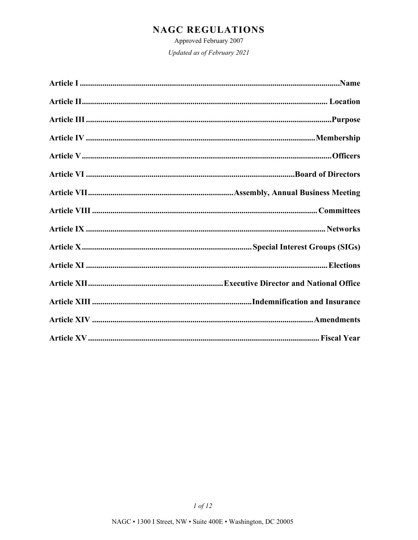Approved February 2007

Updated as of February 2021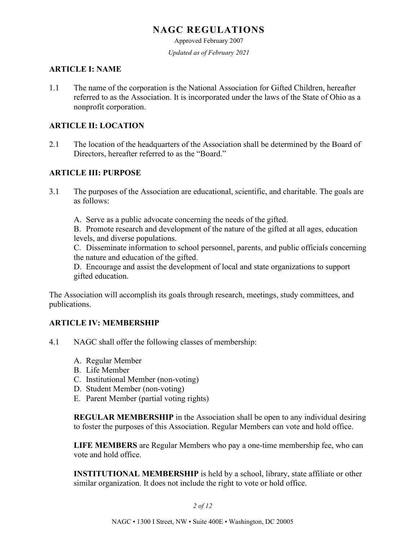Approved February 2007

*Updated as of February 2021*

#### **ARTICLE I: NAME**

1.1 The name of the corporation is the National Association for Gifted Children, hereafter referred to as the Association. It is incorporated under the laws of the State of Ohio as a nonprofit corporation.

#### **ARTICLE II: LOCATION**

2.1 The location of the headquarters of the Association shall be determined by the Board of Directors, hereafter referred to as the "Board."

### **ARTICLE III: PURPOSE**

- 3.1 The purposes of the Association are educational, scientific, and charitable. The goals are as follows:
	- A. Serve as a public advocate concerning the needs of the gifted.

B. Promote research and development of the nature of the gifted at all ages, education levels, and diverse populations.

C. Disseminate information to school personnel, parents, and public officials concerning the nature and education of the gifted.

D. Encourage and assist the development of local and state organizations to support gifted education.

The Association will accomplish its goals through research, meetings, study committees, and publications.

### **ARTICLE IV: MEMBERSHIP**

- 4.1 NAGC shall offer the following classes of membership:
	- A. Regular Member
	- B. Life Member
	- C. Institutional Member (non-voting)
	- D. Student Member (non-voting)
	- E. Parent Member (partial voting rights)

**REGULAR MEMBERSHIP** in the Association shall be open to any individual desiring to foster the purposes of this Association. Regular Members can vote and hold office.

**LIFE MEMBERS** are Regular Members who pay a one-time membership fee, who can vote and hold office.

**INSTITUTIONAL MEMBERSHIP** is held by a school, library, state affiliate or other similar organization. It does not include the right to vote or hold office.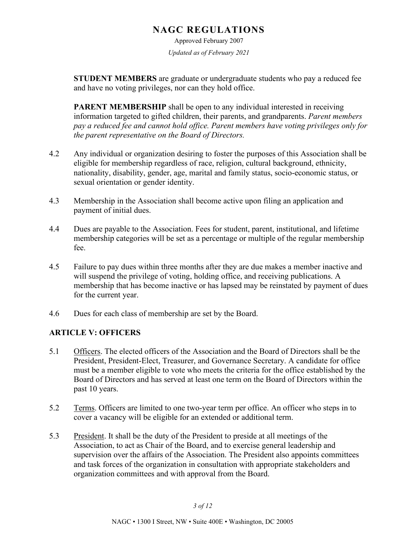Approved February 2007 *Updated as of February 2021*

**STUDENT MEMBERS** are graduate or undergraduate students who pay a reduced fee and have no voting privileges, nor can they hold office.

**PARENT MEMBERSHIP** shall be open to any individual interested in receiving information targeted to gifted children, their parents, and grandparents. *Parent members pay a reduced fee and cannot hold office. Parent members have voting privileges only for the parent representative on the Board of Directors.*

- 4.2 Any individual or organization desiring to foster the purposes of this Association shall be eligible for membership regardless of race, religion, cultural background, ethnicity, nationality, disability, gender, age, marital and family status, socio-economic status, or sexual orientation or gender identity.
- 4.3 Membership in the Association shall become active upon filing an application and payment of initial dues.
- 4.4 Dues are payable to the Association. Fees for student, parent, institutional, and lifetime membership categories will be set as a percentage or multiple of the regular membership fee.
- 4.5 Failure to pay dues within three months after they are due makes a member inactive and will suspend the privilege of voting, holding office, and receiving publications. A membership that has become inactive or has lapsed may be reinstated by payment of dues for the current year.
- 4.6 Dues for each class of membership are set by the Board.

### **ARTICLE V: OFFICERS**

- 5.1 Officers. The elected officers of the Association and the Board of Directors shall be the President, President-Elect, Treasurer, and Governance Secretary. A candidate for office must be a member eligible to vote who meets the criteria for the office established by the Board of Directors and has served at least one term on the Board of Directors within the past 10 years.
- 5.2 Terms. Officers are limited to one two-year term per office. An officer who steps in to cover a vacancy will be eligible for an extended or additional term.
- 5.3 President. It shall be the duty of the President to preside at all meetings of the Association, to act as Chair of the Board, and to exercise general leadership and supervision over the affairs of the Association. The President also appoints committees and task forces of the organization in consultation with appropriate stakeholders and organization committees and with approval from the Board.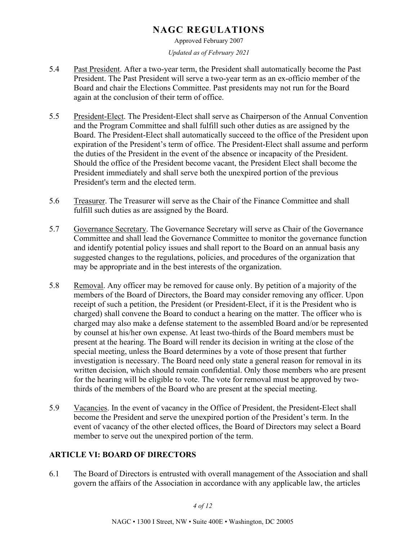Approved February 2007

*Updated as of February 2021*

- 5.4 Past President. After a two-year term, the President shall automatically become the Past President. The Past President will serve a two-year term as an ex-officio member of the Board and chair the Elections Committee. Past presidents may not run for the Board again at the conclusion of their term of office.
- 5.5 President-Elect. The President-Elect shall serve as Chairperson of the Annual Convention and the Program Committee and shall fulfill such other duties as are assigned by the Board. The President-Elect shall automatically succeed to the office of the President upon expiration of the President's term of office. The President-Elect shall assume and perform the duties of the President in the event of the absence or incapacity of the President. Should the office of the President become vacant, the President Elect shall become the President immediately and shall serve both the unexpired portion of the previous President's term and the elected term.
- 5.6 Treasurer. The Treasurer will serve as the Chair of the Finance Committee and shall fulfill such duties as are assigned by the Board.
- 5.7 Governance Secretary. The Governance Secretary will serve as Chair of the Governance Committee and shall lead the Governance Committee to monitor the governance function and identify potential policy issues and shall report to the Board on an annual basis any suggested changes to the regulations, policies, and procedures of the organization that may be appropriate and in the best interests of the organization.
- 5.8 Removal. Any officer may be removed for cause only. By petition of a majority of the members of the Board of Directors, the Board may consider removing any officer. Upon receipt of such a petition, the President (or President-Elect, if it is the President who is charged) shall convene the Board to conduct a hearing on the matter. The officer who is charged may also make a defense statement to the assembled Board and/or be represented by counsel at his/her own expense. At least two-thirds of the Board members must be present at the hearing. The Board will render its decision in writing at the close of the special meeting, unless the Board determines by a vote of those present that further investigation is necessary. The Board need only state a general reason for removal in its written decision, which should remain confidential. Only those members who are present for the hearing will be eligible to vote. The vote for removal must be approved by twothirds of the members of the Board who are present at the special meeting.
- 5.9 Vacancies. In the event of vacancy in the Office of President, the President-Elect shall become the President and serve the unexpired portion of the President's term. In the event of vacancy of the other elected offices, the Board of Directors may select a Board member to serve out the unexpired portion of the term.

### **ARTICLE VI: BOARD OF DIRECTORS**

6.1 The Board of Directors is entrusted with overall management of the Association and shall govern the affairs of the Association in accordance with any applicable law, the articles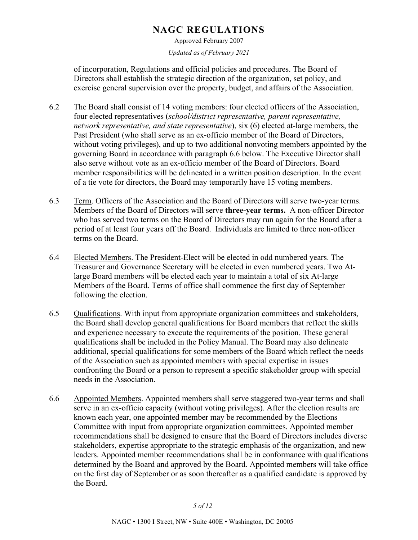Approved February 2007

*Updated as of February 2021*

of incorporation, Regulations and official policies and procedures. The Board of Directors shall establish the strategic direction of the organization, set policy, and exercise general supervision over the property, budget, and affairs of the Association.

- 6.2 The Board shall consist of 14 voting members: four elected officers of the Association, four elected representatives (*school/district representative, parent representative, network representative, and state representative*), six (6) elected at-large members, the Past President (who shall serve as an ex-officio member of the Board of Directors, without voting privileges), and up to two additional nonvoting members appointed by the governing Board in accordance with paragraph 6.6 below. The Executive Director shall also serve without vote as an ex-officio member of the Board of Directors. Board member responsibilities will be delineated in a written position description. In the event of a tie vote for directors, the Board may temporarily have 15 voting members.
- 6.3 Term. Officers of the Association and the Board of Directors will serve two-year terms. Members of the Board of Directors will serve **three-year terms.** A non-officer Director who has served two terms on the Board of Directors may run again for the Board after a period of at least four years off the Board. Individuals are limited to three non-officer terms on the Board.
- 6.4 Elected Members. The President-Elect will be elected in odd numbered years. The Treasurer and Governance Secretary will be elected in even numbered years. Two Atlarge Board members will be elected each year to maintain a total of six At-large Members of the Board. Terms of office shall commence the first day of September following the election.
- 6.5 Qualifications. With input from appropriate organization committees and stakeholders, the Board shall develop general qualifications for Board members that reflect the skills and experience necessary to execute the requirements of the position. These general qualifications shall be included in the Policy Manual. The Board may also delineate additional, special qualifications for some members of the Board which reflect the needs of the Association such as appointed members with special expertise in issues confronting the Board or a person to represent a specific stakeholder group with special needs in the Association.
- 6.6 Appointed Members. Appointed members shall serve staggered two-year terms and shall serve in an ex-officio capacity (without voting privileges). After the election results are known each year, one appointed member may be recommended by the Elections Committee with input from appropriate organization committees. Appointed member recommendations shall be designed to ensure that the Board of Directors includes diverse stakeholders, expertise appropriate to the strategic emphasis of the organization, and new leaders. Appointed member recommendations shall be in conformance with qualifications determined by the Board and approved by the Board. Appointed members will take office on the first day of September or as soon thereafter as a qualified candidate is approved by the Board.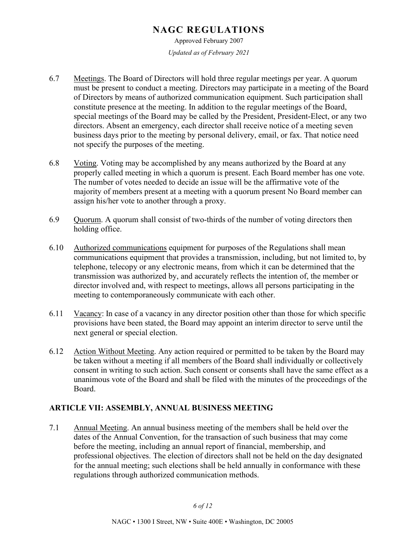Approved February 2007 *Updated as of February 2021*

- 6.7 Meetings. The Board of Directors will hold three regular meetings per year. A quorum must be present to conduct a meeting. Directors may participate in a meeting of the Board of Directors by means of authorized communication equipment. Such participation shall constitute presence at the meeting. In addition to the regular meetings of the Board, special meetings of the Board may be called by the President, President-Elect, or any two directors. Absent an emergency, each director shall receive notice of a meeting seven business days prior to the meeting by personal delivery, email, or fax. That notice need not specify the purposes of the meeting.
- 6.8 Voting. Voting may be accomplished by any means authorized by the Board at any properly called meeting in which a quorum is present. Each Board member has one vote. The number of votes needed to decide an issue will be the affirmative vote of the majority of members present at a meeting with a quorum present No Board member can assign his/her vote to another through a proxy.
- 6.9 Quorum. A quorum shall consist of two-thirds of the number of voting directors then holding office.
- 6.10 Authorized communications equipment for purposes of the Regulations shall mean communications equipment that provides a transmission, including, but not limited to, by telephone, telecopy or any electronic means, from which it can be determined that the transmission was authorized by, and accurately reflects the intention of, the member or director involved and, with respect to meetings, allows all persons participating in the meeting to contemporaneously communicate with each other.
- 6.11 Vacancy: In case of a vacancy in any director position other than those for which specific provisions have been stated, the Board may appoint an interim director to serve until the next general or special election.
- 6.12 Action Without Meeting. Any action required or permitted to be taken by the Board may be taken without a meeting if all members of the Board shall individually or collectively consent in writing to such action. Such consent or consents shall have the same effect as a unanimous vote of the Board and shall be filed with the minutes of the proceedings of the Board.

### **ARTICLE VII: ASSEMBLY, ANNUAL BUSINESS MEETING**

7.1 Annual Meeting. An annual business meeting of the members shall be held over the dates of the Annual Convention, for the transaction of such business that may come before the meeting, including an annual report of financial, membership, and professional objectives. The election of directors shall not be held on the day designated for the annual meeting; such elections shall be held annually in conformance with these regulations through authorized communication methods.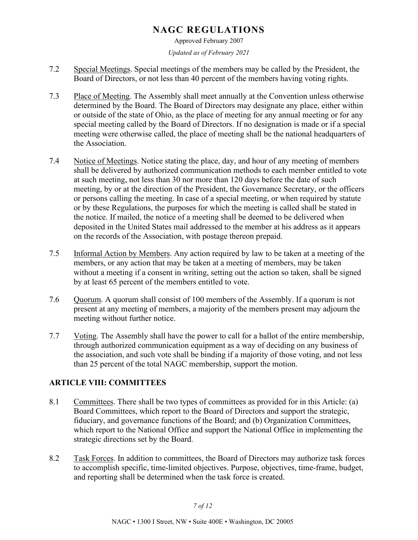Approved February 2007

*Updated as of February 2021*

- 7.2 Special Meetings. Special meetings of the members may be called by the President, the Board of Directors, or not less than 40 percent of the members having voting rights.
- 7.3 Place of Meeting. The Assembly shall meet annually at the Convention unless otherwise determined by the Board. The Board of Directors may designate any place, either within or outside of the state of Ohio, as the place of meeting for any annual meeting or for any special meeting called by the Board of Directors. If no designation is made or if a special meeting were otherwise called, the place of meeting shall be the national headquarters of the Association.
- 7.4 Notice of Meetings. Notice stating the place, day, and hour of any meeting of members shall be delivered by authorized communication methods to each member entitled to vote at such meeting, not less than 30 nor more than 120 days before the date of such meeting, by or at the direction of the President, the Governance Secretary, or the officers or persons calling the meeting. In case of a special meeting, or when required by statute or by these Regulations, the purposes for which the meeting is called shall be stated in the notice. If mailed, the notice of a meeting shall be deemed to be delivered when deposited in the United States mail addressed to the member at his address as it appears on the records of the Association, with postage thereon prepaid.
- 7.5 Informal Action by Members. Any action required by law to be taken at a meeting of the members, or any action that may be taken at a meeting of members, may be taken without a meeting if a consent in writing, setting out the action so taken, shall be signed by at least 65 percent of the members entitled to vote.
- 7.6 Quorum. A quorum shall consist of 100 members of the Assembly. If a quorum is not present at any meeting of members, a majority of the members present may adjourn the meeting without further notice.
- 7.7 Voting. The Assembly shall have the power to call for a ballot of the entire membership, through authorized communication equipment as a way of deciding on any business of the association, and such vote shall be binding if a majority of those voting, and not less than 25 percent of the total NAGC membership, support the motion.

## **ARTICLE VIII: COMMITTEES**

- 8.1 Committees. There shall be two types of committees as provided for in this Article: (a) Board Committees, which report to the Board of Directors and support the strategic, fiduciary, and governance functions of the Board; and (b) Organization Committees, which report to the National Office and support the National Office in implementing the strategic directions set by the Board.
- 8.2 Task Forces. In addition to committees, the Board of Directors may authorize task forces to accomplish specific, time-limited objectives. Purpose, objectives, time-frame, budget, and reporting shall be determined when the task force is created.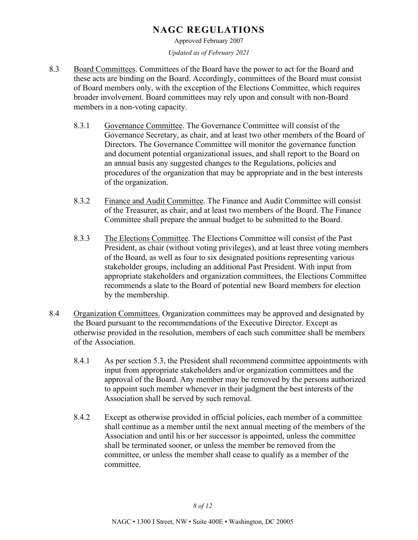Approved February 2007

*Updated as of February 2021*

- 8.3 Board Committees. Committees of the Board have the power to act for the Board and these acts are binding on the Board. Accordingly, committees of the Board must consist of Board members only, with the exception of the Elections Committee, which requires broader involvement. Board committees may rely upon and consult with non-Board members in a non-voting capacity.
	- 8.3.1 Governance Committee. The Governance Committee will consist of the Governance Secretary, as chair, and at least two other members of the Board of Directors. The Governance Committee will monitor the governance function and document potential organizational issues, and shall report to the Board on an annual basis any suggested changes to the Regulations, policies and procedures of the organization that may be appropriate and in the best interests of the organization.
	- 8.3.2 Finance and Audit Committee. The Finance and Audit Committee will consist of the Treasurer, as chair, and at least two members of the Board. The Finance Committee shall prepare the annual budget to be submitted to the Board.
	- 8.3.3 The Elections Committee. The Elections Committee will consist of the Past President, as chair (without voting privileges), and at least three voting members of the Board, as well as four to six designated positions representing various stakeholder groups, including an additional Past President. With input from appropriate stakeholders and organization committees, the Elections Committee recommends a slate to the Board of potential new Board members for election by the membership.
- 8.4 Organization Committees. Organization committees may be approved and designated by the Board pursuant to the recommendations of the Executive Director. Except as otherwise provided in the resolution, members of each such committee shall be members of the Association.
	- 8.4.1 As per section 5.3, the President shall recommend committee appointments with input from appropriate stakeholders and/or organization committees and the approval of the Board. Any member may be removed by the persons authorized to appoint such member whenever in their judgment the best interests of the Association shall be served by such removal.
	- 8.4.2 Except as otherwise provided in official policies, each member of a committee shall continue as a member until the next annual meeting of the members of the Association and until his or her successor is appointed, unless the committee shall be terminated sooner, or unless the member be removed from the committee, or unless the member shall cease to qualify as a member of the committee.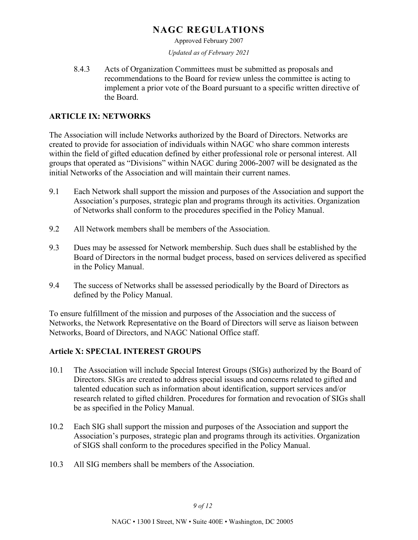Approved February 2007

*Updated as of February 2021*

8.4.3 Acts of Organization Committees must be submitted as proposals and recommendations to the Board for review unless the committee is acting to implement a prior vote of the Board pursuant to a specific written directive of the Board.

### **ARTICLE IX: NETWORKS**

The Association will include Networks authorized by the Board of Directors. Networks are created to provide for association of individuals within NAGC who share common interests within the field of gifted education defined by either professional role or personal interest. All groups that operated as "Divisions" within NAGC during 2006-2007 will be designated as the initial Networks of the Association and will maintain their current names.

- 9.1 Each Network shall support the mission and purposes of the Association and support the Association's purposes, strategic plan and programs through its activities. Organization of Networks shall conform to the procedures specified in the Policy Manual.
- 9.2 All Network members shall be members of the Association.
- 9.3 Dues may be assessed for Network membership. Such dues shall be established by the Board of Directors in the normal budget process, based on services delivered as specified in the Policy Manual.
- 9.4 The success of Networks shall be assessed periodically by the Board of Directors as defined by the Policy Manual.

To ensure fulfillment of the mission and purposes of the Association and the success of Networks, the Network Representative on the Board of Directors will serve as liaison between Networks, Board of Directors, and NAGC National Office staff.

#### **Article X: SPECIAL INTEREST GROUPS**

- 10.1 The Association will include Special Interest Groups (SIGs) authorized by the Board of Directors. SIGs are created to address special issues and concerns related to gifted and talented education such as information about identification, support services and/or research related to gifted children. Procedures for formation and revocation of SIGs shall be as specified in the Policy Manual.
- 10.2 Each SIG shall support the mission and purposes of the Association and support the Association's purposes, strategic plan and programs through its activities. Organization of SIGS shall conform to the procedures specified in the Policy Manual.
- 10.3 All SIG members shall be members of the Association.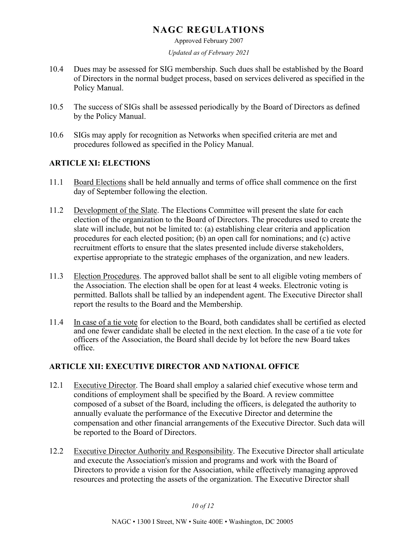Approved February 2007

*Updated as of February 2021*

- 10.4 Dues may be assessed for SIG membership. Such dues shall be established by the Board of Directors in the normal budget process, based on services delivered as specified in the Policy Manual.
- 10.5 The success of SIGs shall be assessed periodically by the Board of Directors as defined by the Policy Manual.
- 10.6 SIGs may apply for recognition as Networks when specified criteria are met and procedures followed as specified in the Policy Manual.

## **ARTICLE XI: ELECTIONS**

- 11.1 Board Elections shall be held annually and terms of office shall commence on the first day of September following the election.
- 11.2 Development of the Slate. The Elections Committee will present the slate for each election of the organization to the Board of Directors. The procedures used to create the slate will include, but not be limited to: (a) establishing clear criteria and application procedures for each elected position; (b) an open call for nominations; and (c) active recruitment efforts to ensure that the slates presented include diverse stakeholders, expertise appropriate to the strategic emphases of the organization, and new leaders.
- 11.3 Election Procedures. The approved ballot shall be sent to all eligible voting members of the Association. The election shall be open for at least 4 weeks. Electronic voting is permitted. Ballots shall be tallied by an independent agent. The Executive Director shall report the results to the Board and the Membership.
- 11.4 In case of a tie vote for election to the Board, both candidates shall be certified as elected and one fewer candidate shall be elected in the next election. In the case of a tie vote for officers of the Association, the Board shall decide by lot before the new Board takes office.

## **ARTICLE XII: EXECUTIVE DIRECTOR AND NATIONAL OFFICE**

- 12.1 Executive Director. The Board shall employ a salaried chief executive whose term and conditions of employment shall be specified by the Board. A review committee composed of a subset of the Board, including the officers, is delegated the authority to annually evaluate the performance of the Executive Director and determine the compensation and other financial arrangements of the Executive Director. Such data will be reported to the Board of Directors.
- 12.2 Executive Director Authority and Responsibility. The Executive Director shall articulate and execute the Association's mission and programs and work with the Board of Directors to provide a vision for the Association, while effectively managing approved resources and protecting the assets of the organization. The Executive Director shall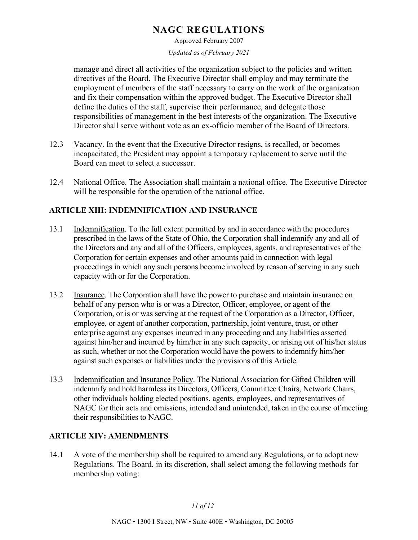Approved February 2007

*Updated as of February 2021*

manage and direct all activities of the organization subject to the policies and written directives of the Board. The Executive Director shall employ and may terminate the employment of members of the staff necessary to carry on the work of the organization and fix their compensation within the approved budget. The Executive Director shall define the duties of the staff, supervise their performance, and delegate those responsibilities of management in the best interests of the organization. The Executive Director shall serve without vote as an ex-officio member of the Board of Directors.

- 12.3 Vacancy. In the event that the Executive Director resigns, is recalled, or becomes incapacitated, the President may appoint a temporary replacement to serve until the Board can meet to select a successor.
- 12.4 National Office. The Association shall maintain a national office. The Executive Director will be responsible for the operation of the national office.

## **ARTICLE XIII: INDEMNIFICATION AND INSURANCE**

- 13.1 Indemnification. To the full extent permitted by and in accordance with the procedures prescribed in the laws of the State of Ohio, the Corporation shall indemnify any and all of the Directors and any and all of the Officers, employees, agents, and representatives of the Corporation for certain expenses and other amounts paid in connection with legal proceedings in which any such persons become involved by reason of serving in any such capacity with or for the Corporation.
- 13.2 Insurance. The Corporation shall have the power to purchase and maintain insurance on behalf of any person who is or was a Director, Officer, employee, or agent of the Corporation, or is or was serving at the request of the Corporation as a Director, Officer, employee, or agent of another corporation, partnership, joint venture, trust, or other enterprise against any expenses incurred in any proceeding and any liabilities asserted against him/her and incurred by him/her in any such capacity, or arising out of his/her status as such, whether or not the Corporation would have the powers to indemnify him/her against such expenses or liabilities under the provisions of this Article.
- 13.3 Indemnification and Insurance Policy. The National Association for Gifted Children will indemnify and hold harmless its Directors, Officers, Committee Chairs, Network Chairs, other individuals holding elected positions, agents, employees, and representatives of NAGC for their acts and omissions, intended and unintended, taken in the course of meeting their responsibilities to NAGC.

## **ARTICLE XIV: AMENDMENTS**

14.1 A vote of the membership shall be required to amend any Regulations, or to adopt new Regulations. The Board, in its discretion, shall select among the following methods for membership voting: